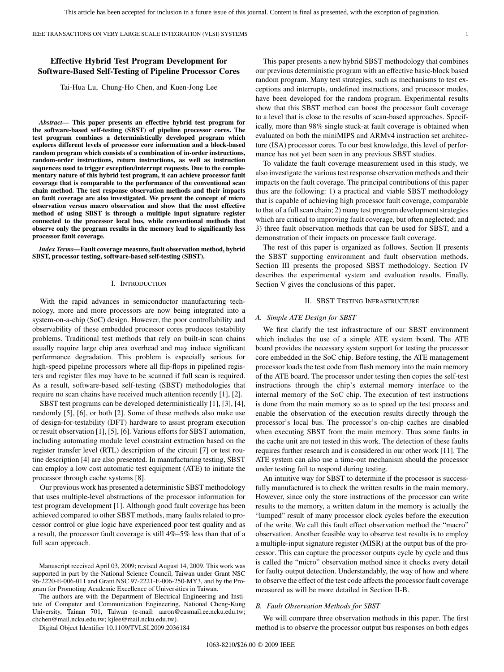# **Effective Hybrid Test Program Development for Software-Based Self-Testing of Pipeline Processor Cores**

Tai-Hua Lu, Chung-Ho Chen, and Kuen-Jong Lee

*Abstract—* **This paper presents an effective hybrid test program for the software-based self-testing (SBST) of pipeline processor cores. The test program combines a deterministically developed program which explores different levels of processor core information and a block-based random program which consists of a combination of in-order instructions, random-order instructions, return instructions, as well as instruction sequences used to trigger exception/interrupt requests. Due to the complementary nature of this hybrid test program, it can achieve processor fault coverage that is comparable to the performance of the conventional scan chain method. The test response observation methods and their impacts on fault coverage are also investigated. We present the concept of micro observation versus macro observation and show that the most effective method of using SBST is through a multiple input signature register connected to the processor local bus, while conventional methods that observe only the program results in the memory lead to significantly less processor fault coverage.**

*Index Terms—***Fault coverage measure, fault observation method, hybrid SBST, processor testing, software-based self-testing (SBST).**

#### I. INTRODUCTION

With the rapid advances in semiconductor manufacturing technology, more and more processors are now being integrated into a system-on-a-chip (SoC) design. However, the poor controllability and observability of these embedded processor cores produces testability problems. Traditional test methods that rely on built-in scan chains usually require large chip area overhead and may induce significant performance degradation. This problem is especially serious for high-speed pipeline processors where all flip-flops in pipelined registers and register files may have to be scanned if full scan is required. As a result, software-based self-testing (SBST) methodologies that require no scan chains have received much attention recently [1], [2].

SBST test programs can be developed deterministically [1], [3], [4], randomly [5], [6], or both [2]. Some of these methods also make use of design-for-testability (DFT) hardware to assist program execution or result observation [1], [5], [6]. Various efforts for SBST automation, including automating module level constraint extraction based on the register transfer level (RTL) description of the circuit [7] or test routine description [4] are also presented. In manufacturing testing, SBST can employ a low cost automatic test equipment (ATE) to initiate the processor through cache systems [8].

Our previous work has presented a deterministic SBST methodology that uses multiple-level abstractions of the processor information for test program development [1]. Although good fault coverage has been achieved compared to other SBST methods, many faults related to processor control or glue logic have experienced poor test quality and as a result, the processor fault coverage is still 4%–5% less than that of a full scan approach.

Manuscript received April 03, 2009; revised August 14, 2009. This work was supported in part by the National Science Council, Taiwan under Grant NSC 96-2220-E-006-011 and Grant NSC 97-2221-E-006-250-MY3, and by the Program for Promoting Academic Excellence of Universities in Taiwan.

The authors are with the Department of Electrical Engineering and Institute of Computer and Communication Engineering, National Cheng-Kung University, Tainan 701, Taiwan (e-mail: aaron@casmail.ee.ncku.edu.tw; chchen@mail.ncku.edu.tw; kjlee@mail.ncku.edu.tw).

Digital Object Identifier 10.1109/TVLSI.2009.2036184

This paper presents a new hybrid SBST methodology that combines our previous deterministic program with an effective basic-block based random program. Many test strategies, such as mechanisms to test exceptions and interrupts, undefined instructions, and processor modes, have been developed for the random program. Experimental results show that this SBST method can boost the processor fault coverage to a level that is close to the results of scan-based approaches. Specifically, more than 98% single stuck-at fault coverage is obtained when evaluated on both the miniMIPS and ARMv4 instruction set architecture (ISA) processor cores. To our best knowledge, this level of performance has not yet been seen in any previous SBST studies.

To validate the fault coverage measurement used in this study, we also investigate the various test response observation methods and their impacts on the fault coverage. The principal contributions of this paper thus are the following: 1) a practical and viable SBST methodology that is capable of achieving high processor fault coverage, comparable to that of a full scan chain; 2) many test program development strategies which are critical to improving fault coverage, but often neglected; and 3) three fault observation methods that can be used for SBST, and a demonstration of their impacts on processor fault coverage.

The rest of this paper is organized as follows. Section II presents the SBST supporting environment and fault observation methods. Section III presents the proposed SBST methodology. Section IV describes the experimental system and evaluation results. Finally, Section V gives the conclusions of this paper.

#### II. SBST TESTING INFRASTRUCTURE

### *A. Simple ATE Design for SBST*

We first clarify the test infrastructure of our SBST environment which includes the use of a simple ATE system board. The ATE board provides the necessary system support for testing the processor core embedded in the SoC chip. Before testing, the ATE management processor loads the test code from flash memory into the main memory of the ATE board. The processor under testing then copies the self-test instructions through the chip's external memory interface to the internal memory of the SoC chip. The execution of test instructions is done from the main memory so as to speed up the test process and enable the observation of the execution results directly through the processor's local bus. The processor's on-chip caches are disabled when executing SBST from the main memory. Thus some faults in the cache unit are not tested in this work. The detection of these faults requires further research and is considered in our other work [11]. The ATE system can also use a time-out mechanism should the processor under testing fail to respond during testing.

An intuitive way for SBST to determine if the processor is successfully manufactured is to check the written results in the main memory. However, since only the store instructions of the processor can write results to the memory, a written datum in the memory is actually the "lumped" result of many processor clock cycles before the execution of the write. We call this fault effect observation method the "macro" observation. Another feasible way to observe test results is to employ a multiple-input signature register (MISR) at the output bus of the processor. This can capture the processor outputs cycle by cycle and thus is called the "micro" observation method since it checks every detail for faulty output detection. Understandably, the way of how and where to observe the effect of the test code affects the processor fault coverage measured as will be more detailed in Section II-B.

# *B. Fault Observation Methods for SBST*

We will compare three observation methods in this paper. The first method is to observe the processor output bus responses on both edges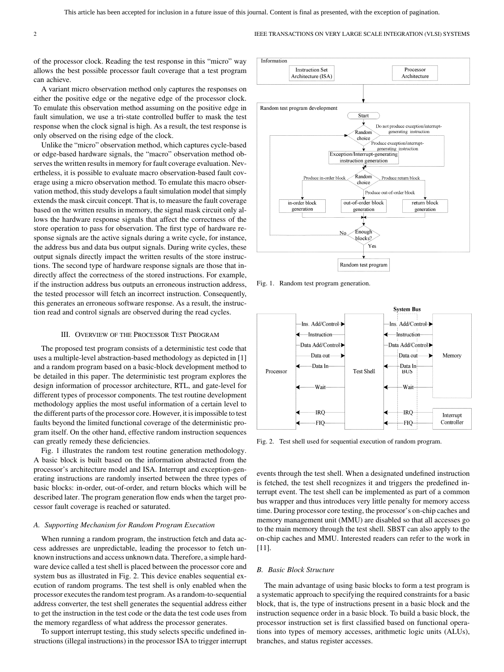of the processor clock. Reading the test response in this "micro" way allows the best possible processor fault coverage that a test program can achieve.

A variant micro observation method only captures the responses on either the positive edge or the negative edge of the processor clock. To emulate this observation method assuming on the positive edge in fault simulation, we use a tri-state controlled buffer to mask the test response when the clock signal is high. As a result, the test response is only observed on the rising edge of the clock.

Unlike the "micro" observation method, which captures cycle-based or edge-based hardware signals, the "macro" observation method observes the written results in memory for fault coverage evaluation. Nevertheless, it is possible to evaluate macro observation-based fault coverage using a micro observation method. To emulate this macro observation method, this study develops a fault simulation model that simply extends the mask circuit concept. That is, to measure the fault coverage based on the written results in memory, the signal mask circuit only allows the hardware response signals that affect the correctness of the store operation to pass for observation. The first type of hardware response signals are the active signals during a write cycle, for instance, the address bus and data bus output signals. During write cycles, these output signals directly impact the written results of the store instructions. The second type of hardware response signals are those that indirectly affect the correctness of the stored instructions. For example, if the instruction address bus outputs an erroneous instruction address, the tested processor will fetch an incorrect instruction. Consequently, this generates an erroneous software response. As a result, the instruction read and control signals are observed during the read cycles.

# III. OVERVIEW OF THE PROCESSOR TEST PROGRAM

The proposed test program consists of a deterministic test code that uses a multiple-level abstraction-based methodology as depicted in [1] and a random program based on a basic-block development method to be detailed in this paper. The deterministic test program explores the design information of processor architecture, RTL, and gate-level for different types of processor components. The test routine development methodology applies the most useful information of a certain level to the different parts of the processor core. However, it is impossible to test faults beyond the limited functional coverage of the deterministic program itself. On the other hand, effective random instruction sequences can greatly remedy these deficiencies.

Fig. 1 illustrates the random test routine generation methodology. A basic block is built based on the information abstracted from the processor's architecture model and ISA. Interrupt and exception-generating instructions are randomly inserted between the three types of basic blocks: in-order, out-of-order, and return blocks which will be described later. The program generation flow ends when the target processor fault coverage is reached or saturated.

#### *A. Supporting Mechanism for Random Program Execution*

When running a random program, the instruction fetch and data access addresses are unpredictable, leading the processor to fetch unknown instructions and access unknown data. Therefore, a simple hardware device called a test shell is placed between the processor core and system bus as illustrated in Fig. 2. This device enables sequential execution of random programs. The test shell is only enabled when the processor executes the random test program. As a random-to-sequential address converter, the test shell generates the sequential address either to get the instruction in the test code or the data the test code uses from the memory regardless of what address the processor generates.

To support interrupt testing, this study selects specific undefined instructions (illegal instructions) in the processor ISA to trigger interrupt



Fig. 1. Random test program generation.



Fig. 2. Test shell used for sequential execution of random program.

events through the test shell. When a designated undefined instruction is fetched, the test shell recognizes it and triggers the predefined interrupt event. The test shell can be implemented as part of a common bus wrapper and thus introduces very little penalty for memory access time. During processor core testing, the processor's on-chip caches and memory management unit (MMU) are disabled so that all accesses go to the main memory through the test shell. SBST can also apply to the on-chip caches and MMU. Interested readers can refer to the work in [11].

### *B. Basic Block Structure*

The main advantage of using basic blocks to form a test program is a systematic approach to specifying the required constraints for a basic block, that is, the type of instructions present in a basic block and the instruction sequence order in a basic block. To build a basic block, the processor instruction set is first classified based on functional operations into types of memory accesses, arithmetic logic units (ALUs), branches, and status register accesses.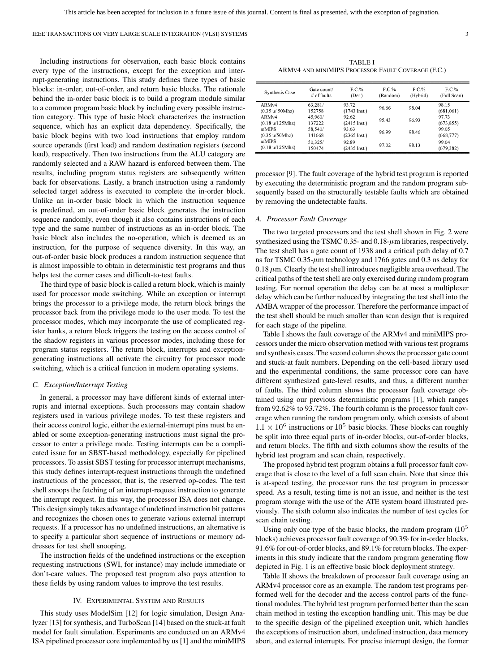Including instructions for observation, each basic block contains every type of the instructions, except for the exception and interrupt-generating instructions. This study defines three types of basic blocks: in-order, out-of-order, and return basic blocks. The rationale behind the in-order basic block is to build a program module similar to a common program basic block by including every possible instruction category. This type of basic block characterizes the instruction sequence, which has an explicit data dependency. Specifically, the basic block begins with two load instructions that employ random source operands (first load) and random destination registers (second load), respectively. Then two instructions from the ALU category are randomly selected and a RAW hazard is enforced between them. The results, including program status registers are subsequently written back for observations. Lastly, a branch instruction using a randomly selected target address is executed to complete the in-order block. Unlike an in-order basic block in which the instruction sequence is predefined, an out-of-order basic block generates the instruction sequence randomly, even though it also contains instructions of each type and the same number of instructions as an in-order block. The basic block also includes the no-operation, which is deemed as an instruction, for the purpose of sequence diversity. In this way, an out-of-order basic block produces a random instruction sequence that is almost impossible to obtain in deterministic test programs and thus helps test the corner cases and difficult-to-test faults.

The third type of basic block is called a return block, which is mainly used for processor mode switching. While an exception or interrupt brings the processor to a privilege mode, the return block brings the processor back from the privilege mode to the user mode. To test the processor modes, which may incorporate the use of complicated register banks, a return block triggers the testing on the access control of the shadow registers in various processor modes, including those for program status registers. The return block, interrupts and exceptiongenerating instructions all activate the circuitry for processor mode switching, which is a critical function in modern operating systems.

### *C. Exception/Interrupt Testing*

In general, a processor may have different kinds of external interrupts and internal exceptions. Such processors may contain shadow registers used in various privilege modes. To test these registers and their access control logic, either the external-interrupt pins must be enabled or some exception-generating instructions must signal the processor to enter a privilege mode. Testing interrupts can be a complicated issue for an SBST-based methodology, especially for pipelined processors. To assist SBST testing for processor interrupt mechanisms, this study defines interrupt-request instructions through the undefined instructions of the processor, that is, the reserved op-codes. The test shell snoops the fetching of an interrupt-request instruction to generate the interrupt request. In this way, the processor ISA does not change. This design simply takes advantage of undefined instruction bit patterns and recognizes the chosen ones to generate various external interrupt requests. If a processor has no undefined instructions, an alternative is to specify a particular short sequence of instructions or memory addresses for test shell snooping.

The instruction fields of the undefined instructions or the exception requesting instructions (SWI, for instance) may include immediate or don't-care values. The proposed test program also pays attention to these fields by using random values to improve the test results.

# IV. EXPERIMENTAL SYSTEM AND RESULTS

This study uses ModelSim [12] for logic simulation, Design Analyzer [13] for synthesis, and TurboScan [14] based on the stuck-at fault model for fault simulation. Experiments are conducted on an ARMv4 ISA pipelined processor core implemented by us [1] and the miniMIPS

TABLE I ARMV4 AND MINIMIPS PROCESSOR FAULT COVERAGE (F.C.)

| <b>Synthesis Case</b>                                                  | Gate count/<br>$#$ of faults | F.C.%<br>(Det.)                 | F C %<br>(Random) | $F C \%$<br>(Hybrid) | FC%<br>(Full Scan)  |
|------------------------------------------------------------------------|------------------------------|---------------------------------|-------------------|----------------------|---------------------|
| ARM <sub>v4</sub><br>$(0.35 \text{ u} / 50 \text{M} \text{hz})$        | 63,281/<br>152758            | 93.72<br>$(1743 \text{ Inst.})$ | 96.66             | 98.04                | 98.15<br>(681,061)  |
| ARM <sub>v4</sub><br>$(0.18 \text{ u}/125 \text{M} \text{h} \text{z})$ | 45,960/<br>137222            | 92.62<br>$(2415 \text{ Inst.})$ | 95.43             | 96.93                | 97.73<br>(673, 855) |
| mMIPS<br>$(0.35 \text{ u}/50 \text{M} \text{h} \text{z})$              | 58,540/<br>141668            | 93.63<br>$(2365 \text{ Inst.})$ | 96 99             | 98 46                | 99.05<br>(668, 777) |
| mMIPS<br>$(0.18 \text{ u}/125 \text{M} \text{h} \text{z})$             | 50,325/<br>150474            | 92.89<br>$(2435 \text{ Inst.})$ | 9702              | 98 13                | 99.04<br>(679, 382) |

processor [9]. The fault coverage of the hybrid test program is reported by executing the deterministic program and the random program subsequently based on the structurally testable faults which are obtained by removing the undetectable faults.

### *A. Processor Fault Coverage*

The two targeted processors and the test shell shown in Fig. 2 were synthesized using the TSMC 0.35- and 0.18- $\mu$ m libraries, respectively. The test shell has a gate count of 1938 and a critical path delay of 0.7 ns for TSMC 0.35- $\mu$ m technology and 1766 gates and 0.3 ns delay for 0.18  $\mu$ m. Clearly the test shell introduces negligible area overhead. The critical paths of the test shell are only exercised during random program testing. For normal operation the delay can be at most a multiplexer delay which can be further reduced by integrating the test shell into the AMBA wrapper of the processor. Therefore the performance impact of the test shell should be much smaller than scan design that is required for each stage of the pipeline.

Table I shows the fault coverage of the ARMv4 and miniMIPS processors under the micro observation method with various test programs and synthesis cases. The second column shows the processor gate count and stuck-at fault numbers. Depending on the cell-based library used and the experimental conditions, the same processor core can have different synthesized gate-level results, and thus, a different number of faults. The third column shows the processor fault coverage obtained using our previous deterministic programs [1], which ranges from 92.62% to 93.72%. The fourth column is the processor fault coverage when running the random program only, which consists of about  $1.1 \times 10^6$  instructions or  $10^5$  basic blocks. These blocks can roughly be split into three equal parts of in-order blocks, out-of-order blocks, and return blocks. The fifth and sixth columns show the results of the hybrid test program and scan chain, respectively.

The proposed hybrid test program obtains a full processor fault coverage that is close to the level of a full scan chain. Note that since this is at-speed testing, the processor runs the test program in processor speed. As a result, testing time is not an issue, and neither is the test program storage with the use of the ATE system board illustrated previously. The sixth column also indicates the number of test cycles for scan chain testing.

Using only one type of the basic blocks, the random program  $(10<sup>5</sup>)$ blocks) achieves processor fault coverage of 90.3% for in-order blocks, 91.6% for out-of-order blocks, and 89.1% for return blocks. The experiments in this study indicate that the random program generating flow depicted in Fig. 1 is an effective basic block deployment strategy.

Table II shows the breakdown of processor fault coverage using an ARMv4 processor core as an example. The random test programs performed well for the decoder and the access control parts of the functional modules. The hybrid test program performed better than the scan chain method in testing the exception handling unit. This may be due to the specific design of the pipelined exception unit, which handles the exceptions of instruction abort, undefined instruction, data memory abort, and external interrupts. For precise interrupt design, the former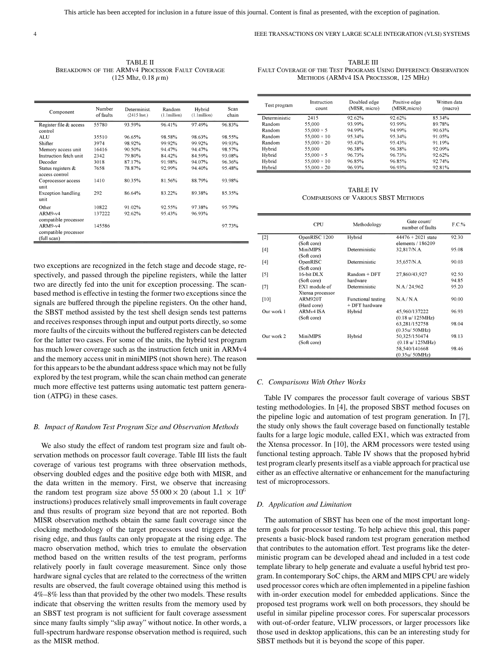TABLE II BREAKDOWN OF THE ARMV4 PROCESSOR FAULT COVERAGE (125 Mhz, 0.18  $\mu$ m)

| Component                            | Number<br>of faults | Determinist<br>$(2415 \text{ Inst.})$ | Random<br>$(1.1$ million $)$ | Hybrid<br>$(1.1$ million $)$ | Scan<br>chain |
|--------------------------------------|---------------------|---------------------------------------|------------------------------|------------------------------|---------------|
| Register file & access               | 55780               | 93.59%                                | 96.41%                       | 97.49%                       | 96.83%        |
| control                              |                     |                                       |                              |                              |               |
| <b>ALU</b>                           | 35510               | 96.65%                                | 98.58%                       | 98.63%                       | 98.55%        |
| Shifter                              | 3974                | 98.92%                                | 99.92%                       | 99 92%                       | 99.93%        |
| Memory access unit                   | 16416               | 90.50%                                | 94 47%                       | 94.47%                       | 98.57%        |
| Instruction fetch unit               | 2342                | 79.80%                                | 84.42%                       | 84.59%                       | 93.08%        |
| Decoder                              | 3018                | 87.17%                                | 91.98%                       | 94.07%                       | 96.36%        |
| Status registers &<br>access control | 7658                | 78.87%                                | 92.99%                       | 94.40%                       | 95.48%        |
| Coprocessor access<br>unit           | 1410                | 80.35%                                | 81.56%                       | 88.79%                       | 93.98%        |
| <b>Exception handling</b><br>unit    | 292                 | 86.64%                                | 83.22%                       | 89.38%                       | 85.35%        |
| Other                                | 10822               | 91.02%                                | 92.55%                       | 9738%                        | 95.79%        |
| $ARM9-v4$                            | 137222              | 92.62%                                | 95.43%                       | 96.93%                       |               |
| compatible processor                 |                     |                                       |                              |                              |               |
| $ARM9-v4$                            | 145586              |                                       |                              |                              | 97.73%        |
| compatible processor<br>(full scan)  |                     |                                       |                              |                              |               |

two exceptions are recognized in the fetch stage and decode stage, respectively, and passed through the pipeline registers, while the latter two are directly fed into the unit for exception processing. The scanbased method is effective in testing the former two exceptions since the signals are buffered through the pipeline registers. On the other hand, the SBST method assisted by the test shell design sends test patterns and receives responses through input and output ports directly, so some more faults of the circuits without the buffered registers can be detected for the latter two cases. For some of the units, the hybrid test program has much lower coverage such as the instruction fetch unit in ARMv4 and the memory access unit in miniMIPS (not shown here). The reason for this appears to be the abundant address space which may not be fully explored by the test program, while the scan chain method can generate much more effective test patterns using automatic test pattern generation (ATPG) in these cases.

#### *B. Impact of Random Test Program Size and Observation Methods*

We also study the effect of random test program size and fault observation methods on processor fault coverage. Table III lists the fault coverage of various test programs with three observation methods, observing doubled edges and the positive edge both with MISR, and the data written in the memory. First, we observe that increasing the random test program size above  $55\,000 \times 20$  (about  $1.1 \times 10^6$ instructions) produces relatively small improvements in fault coverage and thus results of program size beyond that are not reported. Both MISR observation methods obtain the same fault coverage since the clocking methodology of the target processors used triggers at the rising edge, and thus faults can only propagate at the rising edge. The macro observation method, which tries to emulate the observation method based on the written results of the test program, performs relatively poorly in fault coverage measurement. Since only those hardware signal cycles that are related to the correctness of the written results are observed, the fault coverage obtained using this method is 4%–8% less than that provided by the other two models. These results indicate that observing the written results from the memory used by an SBST test program is not sufficient for fault coverage assessment since many faults simply "slip away" without notice. In other words, a full-spectrum hardware response observation method is required, such as the MISR method.

TABLE III FAULT COVERAGE OF THE TEST PROGRAMS USING DIFFERENCE OBSERVATION METHODS (ARMV4 ISA PROCESSOR, 125 MHz)

| Test program  | Instruction<br>count | Doubled edge<br>(MISR, micro) | Positive edge<br>(MISR, micro) | Written data<br>(macro) |
|---------------|----------------------|-------------------------------|--------------------------------|-------------------------|
| Deterministic | 2415                 | 92.62%                        | 92.62%                         | 85.34%                  |
| Random        | 55,000               | 93.99%                        | 93.99%                         | 89.78%                  |
| Random        | 55.000 $\times$ 5    | 94.99%                        | 94.99%                         | 90.63%                  |
| Random        | $55,000 \times 10$   | 95.34%                        | 95.34%                         | 91.05%                  |
| Random        | 55.000 $\times$ 20   | 95.43%                        | 95.43%                         | 91.19%                  |
| Hybrid        | 55,000               | 96.38%                        | 96.38%                         | 92.09%                  |
| Hybrid        | 55.000 $\times$ 5    | 96.73%                        | 96.73%                         | 92.62%                  |
| Hybrid        | $55,000 \times 10$   | 96.85%                        | 96.85%                         | 92.74%                  |
| Hybrid        | 55,000 $\times$ 20   | 96.93%                        | 96.93%                         | 92.81%                  |

TABLE IV COMPARISONS OF VARIOUS SBST METHODS

|            | CPU                                               | Methodology                          | Gate count/<br>number of faults                      | F.C.%          |
|------------|---------------------------------------------------|--------------------------------------|------------------------------------------------------|----------------|
| $[2]$      | OpenRISC 1200<br>(Soft core)                      | Hybrid                               | $44476 + 2021$ state<br>elements / 186209            | 92.30          |
| [4]        | <b>MiniMIPS</b><br>(Soft core)                    | Deterministic                        | 32,817/N.A.                                          | 95.08          |
| [4]        | OpenRISC<br>(Soft core)                           | Deterministic                        | 35,657/N.A.                                          | 90.03          |
| [5]        | 16-bit $DLX$<br>(Soft core)                       | $Random + DFT$<br>hardware           | 27,860/43,927                                        | 92.50<br>94.85 |
| [7]        | EX1 module of                                     | Deterministic                        | N.A./24,962                                          | 95.20          |
| $[10]$     | Xtensa processor<br><b>ARM920T</b><br>(Hard core) | Functional testing<br>+ DFT hardware | NA/NA                                                | 90.00          |
| Our work 1 | <b>ARMv4 ISA</b><br>(Soft core)                   | Hybrid                               | 45,960/137222<br>$(0.18 \text{ u} / 125 \text{MHz})$ | 96.93          |
|            |                                                   |                                      | 63,281/152758<br>(0.35u/50MHz)                       | 98.04          |
| Our work 2 | MiniMIPS<br>(Soft core)                           | Hybrid                               | 50,325/150474<br>$(0.18 \text{ u} / 125 \text{MHz})$ | 98.13          |
|            |                                                   |                                      | 58,540/141668<br>(0.35u/50MHz)                       | 98.46          |

### *C. Comparisons With Other Works*

Table IV compares the processor fault coverage of various SBST testing methodologies. In [4], the proposed SBST method focuses on the pipeline logic and automation of test program generation. In [7], the study only shows the fault coverage based on functionally testable faults for a large logic module, called EX1, which was extracted from the Xtensa processor. In [10], the ARM processors were tested using functional testing approach. Table IV shows that the proposed hybrid test program clearly presents itself as a viable approach for practical use either as an effective alternative or enhancement for the manufacturing test of microprocessors.

#### *D. Application and Limitation*

The automation of SBST has been one of the most important longterm goals for processor testing. To help achieve this goal, this paper presents a basic-block based random test program generation method that contributes to the automation effort. Test programs like the deterministic program can be developed ahead and included in a test code template library to help generate and evaluate a useful hybrid test program. In contemporary SoC chips, the ARM and MIPS CPU are widely used processor cores which are often implemented in a pipeline fashion with in-order execution model for embedded applications. Since the proposed test programs work well on both processors, they should be useful in similar pipeline processor cores. For superscalar processors with out-of-order feature, VLIW processors, or larger processors like those used in desktop applications, this can be an interesting study for SBST methods but it is beyond the scope of this paper.